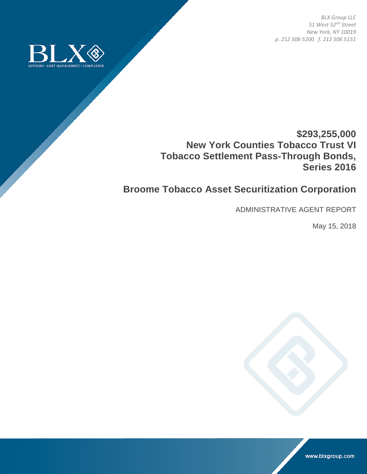*BLX Group LLC 51 West 52nd Street New York, NY 10019 p. 212 506 5200 f. 212 506 5151* 



## **\$293,255,000 New York Counties Tobacco Trust VI Tobacco Settlement Pass-Through Bonds, Series 2016**

## **Broome Tobacco Asset Securitization Corporation**

ADMINISTRATIVE AGENT REPORT

May 15, 2018



www.blxgroup.com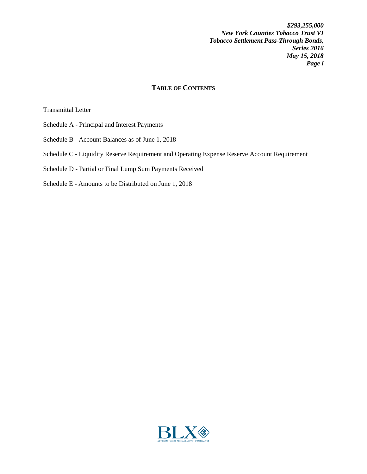## **TABLE OF CONTENTS**

Transmittal Letter

- Schedule A Principal and Interest Payments
- Schedule B Account Balances as of June 1, 2018
- Schedule C Liquidity Reserve Requirement and Operating Expense Reserve Account Requirement
- Schedule D Partial or Final Lump Sum Payments Received
- Schedule E Amounts to be Distributed on June 1, 2018

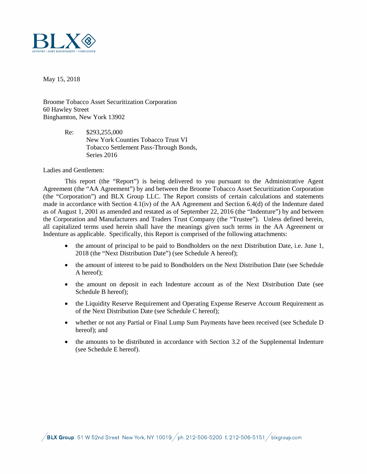

May 15, 2018

Broome Tobacco Asset Securitization Corporation 60 Hawley Street Binghamton, New York 13902

> Re: \$293,255,000 New York Counties Tobacco Trust VI Tobacco Settlement Pass-Through Bonds, Series 2016

Ladies and Gentlemen:

This report (the "Report") is being delivered to you pursuant to the Administrative Agent Agreement (the "AA Agreement") by and between the Broome Tobacco Asset Securitization Corporation (the "Corporation") and BLX Group LLC. The Report consists of certain calculations and statements made in accordance with Section 4.1(iv) of the AA Agreement and Section 6.4(d) of the Indenture dated as of August 1, 2001 as amended and restated as of September 22, 2016 (the "Indenture") by and between the Corporation and Manufacturers and Traders Trust Company (the "Trustee"). Unless defined herein, all capitalized terms used herein shall have the meanings given such terms in the AA Agreement or Indenture as applicable. Specifically, this Report is comprised of the following attachments:

- the amount of principal to be paid to Bondholders on the next Distribution Date, i.e. June 1, 2018 (the "Next Distribution Date") (see Schedule A hereof);
- the amount of interest to be paid to Bondholders on the Next Distribution Date (see Schedule A hereof);
- the amount on deposit in each Indenture account as of the Next Distribution Date (see Schedule B hereof);
- the Liquidity Reserve Requirement and Operating Expense Reserve Account Requirement as of the Next Distribution Date (see Schedule C hereof);
- whether or not any Partial or Final Lump Sum Payments have been received (see Schedule D hereof); and
- the amounts to be distributed in accordance with Section 3.2 of the Supplemental Indenture (see Schedule E hereof).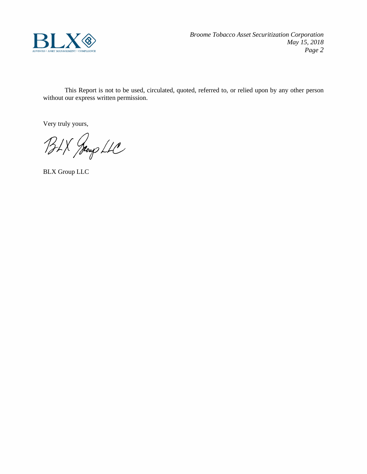

This Report is not to be used, circulated, quoted, referred to, or relied upon by any other person without our express written permission.

Very truly yours,

BLX Jeoup LLC

BLX Group LLC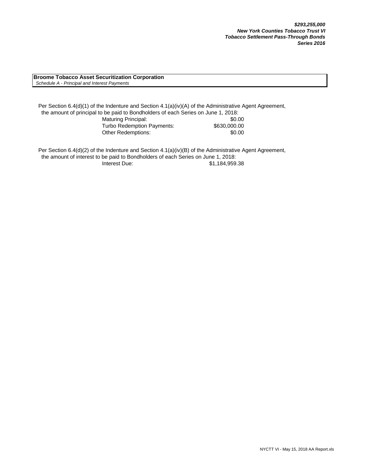**Broome Tobacco Asset Securitization Corporation**  *Schedule A - Principal and Interest Payments*

Per Section 6.4(d)(1) of the Indenture and Section 4.1(a)(iv)(A) of the Administrative Agent Agreement, the amount of principal to be paid to Bondholders of each Series on June 1, 2018: Maturing Principal: \$0.00 Turbo Redemption Payments: \$630,000.00 Other Redemptions:  $$0.00$ 

Per Section 6.4(d)(2) of the Indenture and Section 4.1(a)(iv)(B) of the Administrative Agent Agreement, the amount of interest to be paid to Bondholders of each Series on June 1, 2018: Interest Due: \$1,184,959.38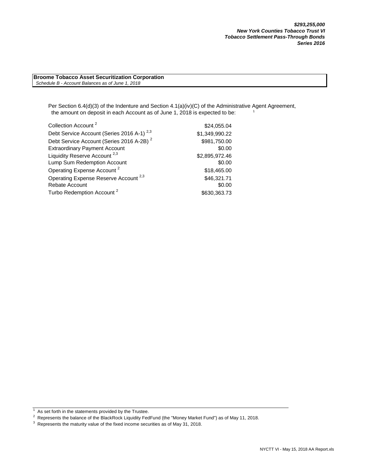**Broome Tobacco Asset Securitization Corporation**  *Schedule B - Account Balances as of June 1, 2018*

> Per Section 6.4(d)(3) of the Indenture and Section 4.1(a)(iv)(C) of the Administrative Agent Agreement, the amount on deposit in each Account as of June 1, 2018 is expected to be:

| Collection Account <sup>2</sup>                       | \$24,055.04    |
|-------------------------------------------------------|----------------|
| Debt Service Account (Series 2016 A-1) <sup>2,3</sup> | \$1,349,990.22 |
| Debt Service Account (Series 2016 A-2B) <sup>2</sup>  | \$981,750.00   |
| <b>Extraordinary Payment Account</b>                  | \$0.00         |
| Liquidity Reserve Account <sup>2,3</sup>              | \$2,895,972.46 |
| Lump Sum Redemption Account                           | \$0.00         |
| Operating Expense Account <sup>2</sup>                | \$18,465.00    |
| Operating Expense Reserve Account <sup>2,3</sup>      | \$46,321.71    |
| Rebate Account                                        | \$0.00         |
| Turbo Redemption Account <sup>2</sup>                 | \$630,363.73   |

 $1$  As set forth in the statements provided by the Trustee.

<sup>2</sup> Represents the balance of the BlackRock Liquidity FedFund (the "Money Market Fund") as of May 11, 2018.

 $3$  Represents the maturity value of the fixed income securities as of May 31, 2018.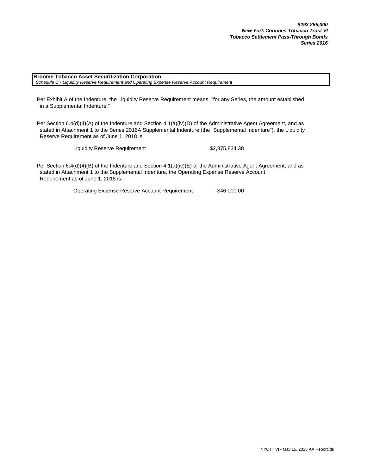**Broome Tobacco Asset Securitization Corporation**  *Schedule C - Liquidity Reserve Requirement and Operating Expense Reserve Account Requirement*

Per Exhibit A of the Indenture, the Liquidity Reserve Requirement means, "for any Series, the amount established in a Supplemental Indenture."

Per Section 6.4(d)(4)(A) of the Indenture and Section 4.1(a)(iv)(D) of the Administrative Agent Agreement, and as stated in Attachment 1 to the Series 2016A Supplemental Indenture (the "Supplemental Indenture"), the Liquidity Reserve Requirement as of June 1, 2018 is:

Liquidity Reserve Requirement \$2,875,834.38

Per Section 6.4(d)(4)(B) of the Indenture and Section 4.1(a)(iv)(E) of the Administrative Agent Agreement, and as stated in Attachment 1 to the Supplemental Indenture, the Operating Expense Reserve Account Requirement as of June 1, 2018 is:

Operating Expense Reserve Account Requirement \$46,000.00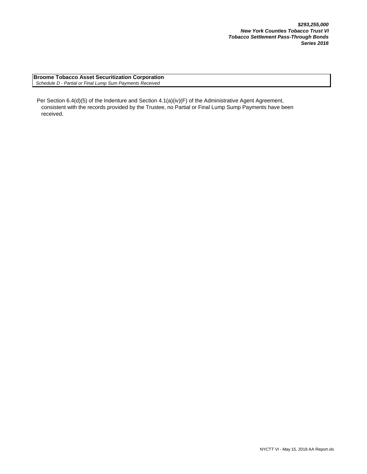**Broome Tobacco Asset Securitization Corporation**  *Schedule D - Partial or Final Lump Sum Payments Received*

Per Section 6.4(d)(5) of the Indenture and Section 4.1(a)(iv)(F) of the Administrative Agent Agreement, consistent with the records provided by the Trustee, no Partial or Final Lump Sump Payments have been received.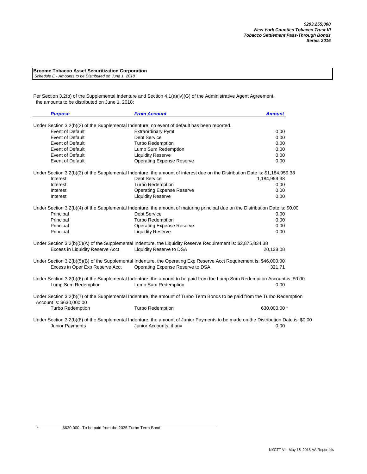| <b>Broome Tobacco Asset Securitization Corporation</b> |
|--------------------------------------------------------|
| Schedule E - Amounts to be Distributed on June 1, 2018 |

Per Section 3.2(b) of the Supplemental Indenture and Section 4.1(a)(iv)(G) of the Administrative Agent Agreement, the amounts to be distributed on June 1, 2018:

| <b>Purpose</b>           |                                  | <b>From Account</b>                                                                                                                                            | <b>Amount</b> |
|--------------------------|----------------------------------|----------------------------------------------------------------------------------------------------------------------------------------------------------------|---------------|
|                          |                                  | Under Section 3.2(b)(2) of the Supplemental Indenture, no event of default has been reported.                                                                  |               |
|                          | <b>Event of Default</b>          | <b>Extraordinary Pymt</b>                                                                                                                                      | 0.00          |
|                          | <b>Event of Default</b>          | <b>Debt Service</b>                                                                                                                                            | 0.00          |
|                          | Event of Default                 | <b>Turbo Redemption</b>                                                                                                                                        | 0.00          |
|                          | <b>Event of Default</b>          | Lump Sum Redemption                                                                                                                                            | 0.00          |
|                          | <b>Event of Default</b>          | <b>Liquidity Reserve</b>                                                                                                                                       | 0.00          |
|                          | <b>Event of Default</b>          | <b>Operating Expense Reserve</b>                                                                                                                               | 0.00          |
|                          |                                  | Under Section 3.2(b)(3) of the Supplemental Indenture, the amount of interest due on the Distribution Date is: \$1,184,959.38                                  |               |
| Interest                 |                                  | Debt Service                                                                                                                                                   | 1,184,959.38  |
| Interest                 |                                  | <b>Turbo Redemption</b>                                                                                                                                        | 0.00          |
| Interest                 |                                  | <b>Operating Expense Reserve</b>                                                                                                                               | 0.00          |
| Interest                 |                                  | <b>Liquidity Reserve</b>                                                                                                                                       | 0.00          |
|                          |                                  | Under Section 3.2(b)(4) of the Supplemental Indenture, the amount of maturing principal due on the Distribution Date is: \$0.00                                |               |
| Principal                |                                  | <b>Debt Service</b>                                                                                                                                            | 0.00          |
| Principal                |                                  | <b>Turbo Redemption</b>                                                                                                                                        | 0.00          |
| Principal                |                                  | <b>Operating Expense Reserve</b>                                                                                                                               | 0.00          |
| Principal                |                                  | <b>Liquidity Reserve</b>                                                                                                                                       | 0.00          |
|                          |                                  | Under Section 3.2(b)(5)(A) of the Supplemental Indenture, the Liquidity Reserve Requirement is: \$2,875,834.38                                                 |               |
|                          | Excess in Liquidity Reserve Acct | Liquidity Reserve to DSA                                                                                                                                       | 20,138.08     |
|                          |                                  | Under Section 3.2(b)(5)(B) of the Supplemental Indenture, the Operating Exp Reserve Acct Requirement is: \$46,000.00                                           |               |
|                          | Excess in Oper Exp Reserve Acct  | Operating Expense Reserve to DSA                                                                                                                               | 321.71        |
|                          |                                  | Under Section 3.2(b)(6) of the Supplemental Indenture, the amount to be paid from the Lump Sum Redemption Account is: \$0.00                                   |               |
|                          | Lump Sum Redemption              | Lump Sum Redemption                                                                                                                                            | 0.00          |
| Account is: \$630,000.00 |                                  | Under Section 3.2(b)(7) of the Supplemental Indenture, the amount of Turbo Term Bonds to be paid from the Turbo Redemption                                     |               |
|                          | <b>Turbo Redemption</b>          | <b>Turbo Redemption</b>                                                                                                                                        | 630,000.00 1  |
|                          | Junior Payments                  | Under Section 3.2(b)(8) of the Supplemental Indenture, the amount of Junior Payments to be made on the Distribution Date is: \$0.00<br>Junior Accounts, if any | 0.00          |

1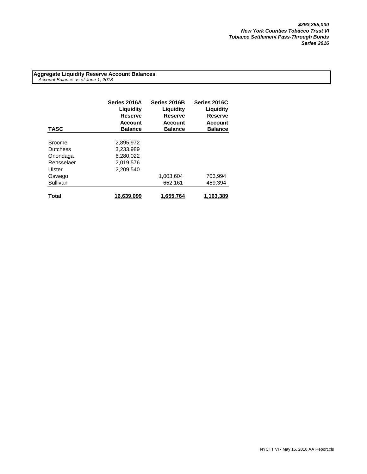**Aggregate Liquidity Reserve Account Balances**  *Account Balance as of June 1, 2018*

| <b>TASC</b>     | Series 2016A<br>Liguidity<br>Reserve<br><b>Account</b><br><b>Balance</b> | Series 2016B<br>Liquidity<br><b>Reserve</b><br><b>Account</b><br><b>Balance</b> | Series 2016C<br>Liquidity<br><b>Reserve</b><br><b>Account</b><br><b>Balance</b> |
|-----------------|--------------------------------------------------------------------------|---------------------------------------------------------------------------------|---------------------------------------------------------------------------------|
|                 |                                                                          |                                                                                 |                                                                                 |
| <b>Broome</b>   | 2,895,972                                                                |                                                                                 |                                                                                 |
| <b>Dutchess</b> | 3,233,989                                                                |                                                                                 |                                                                                 |
| Onondaga        | 6.280.022                                                                |                                                                                 |                                                                                 |
| Rensselaer      | 2,019,576                                                                |                                                                                 |                                                                                 |
| Ulster          | 2.209.540                                                                |                                                                                 |                                                                                 |
| Oswego          |                                                                          | 1,003,604                                                                       | 703,994                                                                         |
| Sullivan        |                                                                          | 652,161                                                                         | 459.394                                                                         |
|                 |                                                                          |                                                                                 |                                                                                 |
| Total           | 16,639,099                                                               | 1.655.764                                                                       | 1.163.389                                                                       |